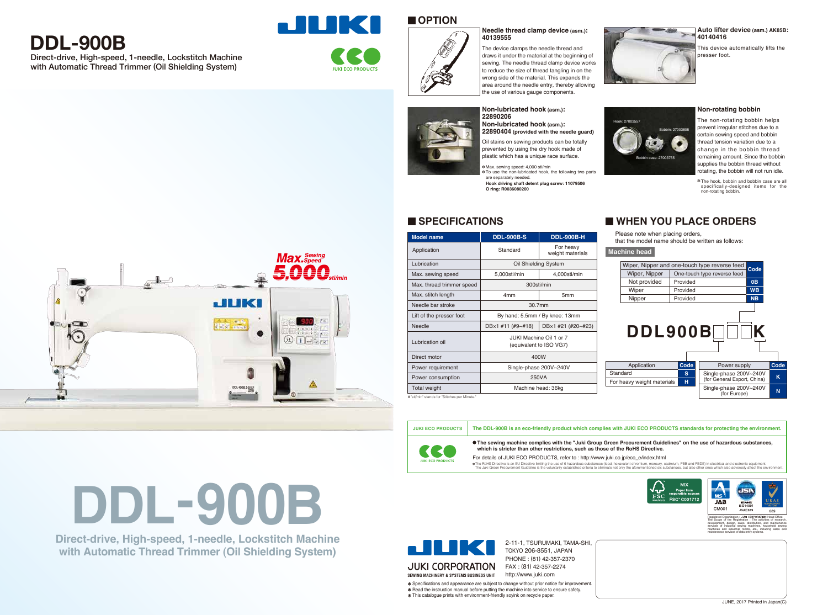The device clamps the needle thread and draws it under the material at the beginning of sewing. The needle thread clamp device works to reduce the size of thread tangling in on the wrong side of the material. This expands the area around the needle entry, thereby allowing the use of various gauge components.



Hook: 27003557



For details of JUKI ECO PRODUCTS, refer to : http://www.juki.co.jp/eco\_e/index.html The RoHS Directive is an EU Directive limiting the use of 6 hazardous substances (lead, hexavelent chronium, mercury, cadmium, PBB and PBDE) in electrical and electronic equipment.<br>The Juki Green Procurement Guideline is t



**The sewing machine complies with the "Juki Group Green Procurement Guidelines" on the use of hazardous substances, which is stricter than other restrictions, such as those of the RoHS Directive.**

#### **Needle thread clamp device (asm.): 40139555**

This device automatically lifts the presser foot.

**Auto lifter device (asm.) AK85B: 40140416**

prevented by using the dry hook made of plastic which has a unique race surface.



Oil stains on sewing products can be totally **22890404 (provided with the needle guard)**

#### **Non-lubricated hook (asm.): 22890206 Non-lubricated hook (asm.):**



The non-rotating bobbin helps prevent irregular stitches due to a certain sewing speed and bobbin thread tension variation due to a change in the bobbin thread remaining amount. Since the bobbin supplies the bobbin thread without rotating, the bobbin will not run idle.

#### **Non-rotating bobbin**

Please note when placing orders,

that the model name should be written as follows:

## **WHEN YOU PLACE ORDERS**

**Machine head**

**SPECIFICATIONS**

Lubrication

Max. sewing speed Max. thread trimmer speed

Max. stitch length Needle bar stroke Lift of the presser foot

Needle

Lubrication oil

**Model name DDL-900B-S DDL-900B-H**



Oil Shielding System

300sti/min



30.7mm By hand: 5.5mm / By knee: 13mm

Direct motor Power requirement Power consumption Total weight

400W Single-phase 200V~240V 250VA Machine head: 36kg

JUKI Machine Oil 1 or 7 (equivalent to ISO VG7)

| Application        |
|--------------------|
| Standard           |
| For heavy weight m |
|                    |

# **Max.** Sewin 5.00  $\Box$ **LILIKI**  $125$   $\frac{1}{2}$  $^{\circledR}$  $\boxed{1}$   $\boxed{1}$   $\frac{1}{2}$   $\frac{1}{2}$   $\frac{1}{2}$

in" stands for "Stitches per Minute.

K  $\blacktriangleleft$ 

| Wiper, Nippe |
|--------------|
| Wiper, Nipp  |
| Not provide  |
| Wiper        |
| Nipper       |
|              |

To use the non-lubricated hook, the following two parts ✽ are separately needed. ✽ Max. sewing speed: 4,000 sti/min

The hook, bobbin and bobbin case are all ✽ specifically-designed items for the non-rotating bobbin.

2-11-1, TSURUMAKI, TAMA-SHI, TOKYO 206-8551, JAPAN PHONE : (81) 42-357-2370 FAX : (81) 42-357-2274 http://www.juki.com

Specifications and appearance are subject to change without prior notice for improvement. Read the instruction manual before putting the machine into service to ensure safety. This catalogue prints with environment-friendly soyink on recycle paper.





Application

5,000sti/min 4,000sti/min

Standard For heavy

weight materials

DB×1 #11 (#9~#18) DB×1 #21 (#20~#23)

## **DDL-900B**

Direct-drive, High-speed, 1-needle, Lockstitch Machine with Automatic Thread Trimmer (Oil Shielding System)





## **OPTION**



**Direct-drive, High-speed, 1-needle, Lockstitch Machine with Automatic Thread Trimmer (Oil Shielding System)**

# **DDL-900B**



4mm 5mm